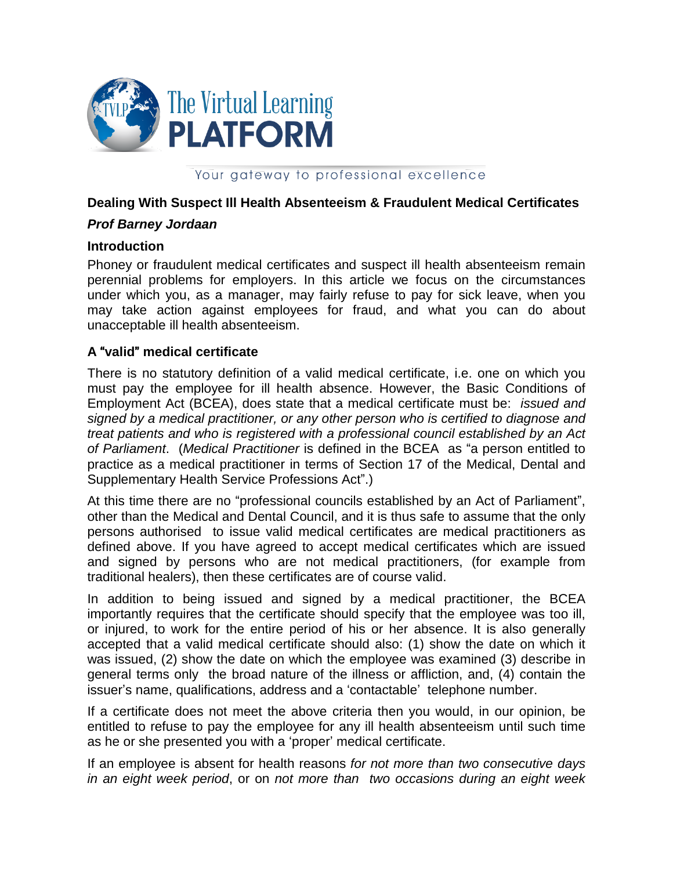

### Your gateway to professional excellence

## **Dealing With Suspect Ill Health Absenteeism & Fraudulent Medical Certificates**

## *Prof Barney Jordaan*

#### **Introduction**

Phoney or fraudulent medical certificates and suspect ill health absenteeism remain perennial problems for employers. In this article we focus on the circumstances under which you, as a manager, may fairly refuse to pay for sick leave, when you may take action against employees for fraud, and what you can do about unacceptable ill health absenteeism.

## **A** "**valid**" **medical certificate**

There is no statutory definition of a valid medical certificate, i.e. one on which you must pay the employee for ill health absence. However, the Basic Conditions of Employment Act (BCEA), does state that a medical certificate must be: *issued and signed by a medical practitioner, or any other person who is certified to diagnose and treat patients and who is registered with a professional council established by an Act of Parliament*. (*Medical Practitioner* is defined in the BCEA as "a person entitled to practice as a medical practitioner in terms of Section 17 of the Medical, Dental and Supplementary Health Service Professions Act".)

At this time there are no "professional councils established by an Act of Parliament", other than the Medical and Dental Council, and it is thus safe to assume that the only persons authorised to issue valid medical certificates are medical practitioners as defined above. If you have agreed to accept medical certificates which are issued and signed by persons who are not medical practitioners, (for example from traditional healers), then these certificates are of course valid.

In addition to being issued and signed by a medical practitioner, the BCEA importantly requires that the certificate should specify that the employee was too ill, or injured, to work for the entire period of his or her absence. It is also generally accepted that a valid medical certificate should also: (1) show the date on which it was issued, (2) show the date on which the employee was examined (3) describe in general terms only the broad nature of the illness or affliction, and, (4) contain the issuer's name, qualifications, address and a 'contactable' telephone number.

If a certificate does not meet the above criteria then you would, in our opinion, be entitled to refuse to pay the employee for any ill health absenteeism until such time as he or she presented you with a 'proper' medical certificate.

If an employee is absent for health reasons *for not more than two consecutive days in an eight week period*, or on *not more than two occasions during an eight week*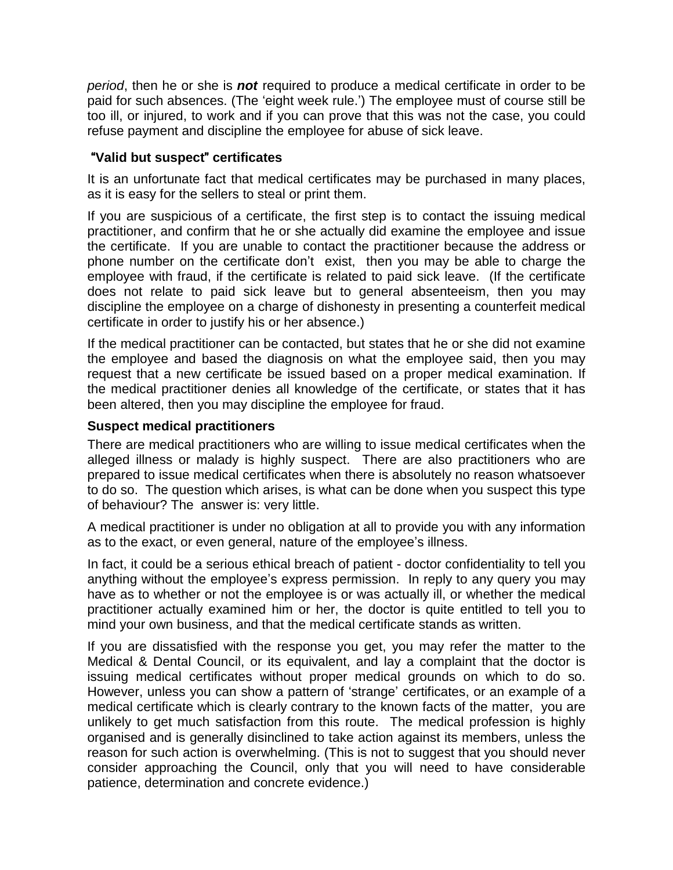*period*, then he or she is *not* required to produce a medical certificate in order to be paid for such absences. (The 'eight week rule.') The employee must of course still be too ill, or injured, to work and if you can prove that this was not the case, you could refuse payment and discipline the employee for abuse of sick leave.

# "**Valid but suspect**" **certificates**

It is an unfortunate fact that medical certificates may be purchased in many places, as it is easy for the sellers to steal or print them.

If you are suspicious of a certificate, the first step is to contact the issuing medical practitioner, and confirm that he or she actually did examine the employee and issue the certificate. If you are unable to contact the practitioner because the address or phone number on the certificate don't exist, then you may be able to charge the employee with fraud, if the certificate is related to paid sick leave. (If the certificate does not relate to paid sick leave but to general absenteeism, then you may discipline the employee on a charge of dishonesty in presenting a counterfeit medical certificate in order to justify his or her absence.)

If the medical practitioner can be contacted, but states that he or she did not examine the employee and based the diagnosis on what the employee said, then you may request that a new certificate be issued based on a proper medical examination. If the medical practitioner denies all knowledge of the certificate, or states that it has been altered, then you may discipline the employee for fraud.

# **Suspect medical practitioners**

There are medical practitioners who are willing to issue medical certificates when the alleged illness or malady is highly suspect. There are also practitioners who are prepared to issue medical certificates when there is absolutely no reason whatsoever to do so. The question which arises, is what can be done when you suspect this type of behaviour? The answer is: very little.

A medical practitioner is under no obligation at all to provide you with any information as to the exact, or even general, nature of the employee's illness.

In fact, it could be a serious ethical breach of patient - doctor confidentiality to tell you anything without the employee's express permission. In reply to any query you may have as to whether or not the employee is or was actually ill, or whether the medical practitioner actually examined him or her, the doctor is quite entitled to tell you to mind your own business, and that the medical certificate stands as written.

If you are dissatisfied with the response you get, you may refer the matter to the Medical & Dental Council, or its equivalent, and lay a complaint that the doctor is issuing medical certificates without proper medical grounds on which to do so. However, unless you can show a pattern of 'strange' certificates, or an example of a medical certificate which is clearly contrary to the known facts of the matter, you are unlikely to get much satisfaction from this route. The medical profession is highly organised and is generally disinclined to take action against its members, unless the reason for such action is overwhelming. (This is not to suggest that you should never consider approaching the Council, only that you will need to have considerable patience, determination and concrete evidence.)